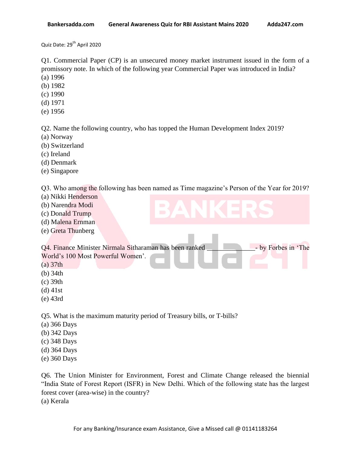Quiz Date: 29<sup>th</sup> April 2020

Q1. Commercial Paper (CP) is an unsecured money market instrument issued in the form of a promissory note. In which of the following year Commercial Paper was introduced in India? (a) 1996

- (b) 1982
- (c) 1990
- (d) 1971
- 
- (e) 1956

Q2. Name the following country, who has topped the Human Development Index 2019?

- (a) Norway
- (b) Switzerland
- (c) Ireland
- (d) Denmark
- (e) Singapore

Q3. Who among the following has been named as Time magazine"s Person of the Year for 2019?

- (a) Nikki Henderson
- (b) Narendra Modi
- (c) Donald Trump
- (d) Malena Ernman
- (e) Greta Thunberg

|                                   | Q4. Finance Minister Nirmala Sitharaman has been ranked |  |  |  |  |  |  |  |  | - by Forbes in 'The |  |  |
|-----------------------------------|---------------------------------------------------------|--|--|--|--|--|--|--|--|---------------------|--|--|
| World's 100 Most Powerful Women'. |                                                         |  |  |  |  |  |  |  |  |                     |  |  |
|                                   | $(a)$ 37th                                              |  |  |  |  |  |  |  |  |                     |  |  |
|                                   | $(h)$ 24th                                              |  |  |  |  |  |  |  |  |                     |  |  |

- (b) 34th
- (c) 39th
- (d) 41st
- (e) 43rd

Q5. What is the maximum maturity period of Treasury bills, or T-bills?

- (a) 366 Days
- (b) 342 Days
- (c) 348 Days
- (d) 364 Days
- (e) 360 Days

Q6. The Union Minister for Environment, Forest and Climate Change released the biennial "India State of Forest Report (ISFR) in New Delhi. Which of the following state has the largest forest cover (area-wise) in the country? (a) Kerala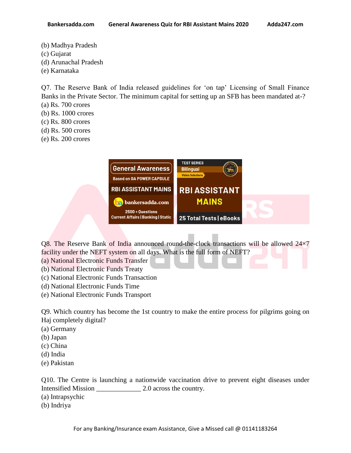- (b) Madhya Pradesh
- (c) Gujarat
- (d) Arunachal Pradesh
- (e) Karnataka

Q7. The Reserve Bank of India released guidelines for "on tap" Licensing of Small Finance Banks in the Private Sector. The minimum capital for setting up an SFB has been mandated at-?

- (a) Rs. 700 crores
- (b) Rs. 1000 crores
- (c) Rs. 800 crores
- (d) Rs. 500 crores
- (e) Rs. 200 crores



Q8. The Reserve Bank of India announced round-the-clock transactions will be allowed 24×7 facility under the NEFT system on all days. What is the full form of NEFT?

- (a) National Electronic Funds Transfer
- (b) National Electronic Funds Treaty
- (c) National Electronic Funds Transaction
- (d) National Electronic Funds Time
- (e) National Electronic Funds Transport

Q9. Which country has become the 1st country to make the entire process for pilgrims going on Haj completely digital?

- (a) Germany
- (b) Japan
- (c) China
- (d) India
- (e) Pakistan

Q10. The Centre is launching a nationwide vaccination drive to prevent eight diseases under Intensified Mission \_\_\_\_\_\_\_\_\_\_\_\_\_ 2.0 across the country.

- (a) Intrapsychic
- (b) Indriya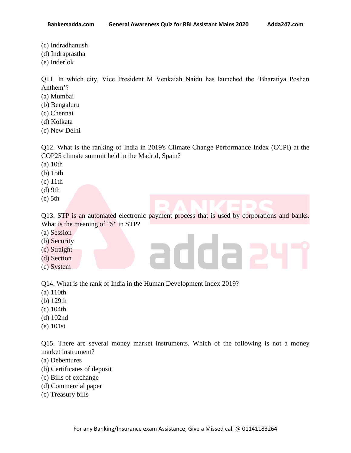**Bankersadda.com General Awareness Quiz for RBI Assistant Mains 2020 Adda247.com**

- 
- (c) Indradhanush
- (d) Indraprastha
- (e) Inderlok

Q11. In which city, Vice President M Venkaiah Naidu has launched the "Bharatiya Poshan Anthem"?

- (a) Mumbai
- (b) Bengaluru
- (c) Chennai
- (d) Kolkata
- (e) New Delhi

Q12. What is the ranking of India in 2019's Climate Change Performance Index (CCPI) at the COP25 climate summit held in the Madrid, Spain?

- (a) 10th
- (b) 15th
- (c) 11th
- (d) 9th
- (e) 5th

Q13. STP is an automated electronic payment process that is used by corporations and banks. What is the meaning of "S" in STP?

addae

- (a) Session
- (b) Security
- (c) Straight
- (d) Section
- (e) System

Q14. What is the rank of India in the Human Development Index 2019?

- (a) 110th
- (b) 129th
- (c) 104th
- (d) 102nd
- (e) 101st

Q15. There are several money market instruments. Which of the following is not a money market instrument?

- (a) Debentures
- (b) Certificates of deposit
- (c) Bills of exchange
- (d) Commercial paper
- (e) Treasury bills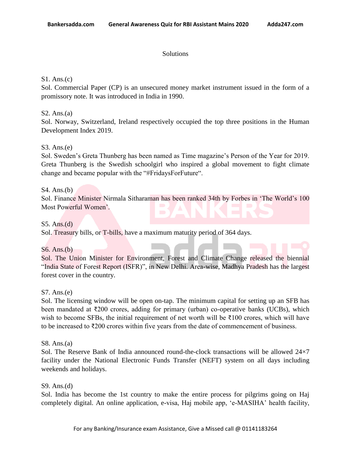### **Solutions**

## S1. Ans.(c)

Sol. Commercial Paper (CP) is an unsecured money market instrument issued in the form of a promissory note. It was introduced in India in 1990.

# S2. Ans.(a)

Sol. Norway, Switzerland, Ireland respectively occupied the top three positions in the Human Development Index 2019.

# S3. Ans.(e)

Sol. Sweden"s Greta Thunberg has been named as Time magazine"s Person of the Year for 2019. Greta Thunberg is the Swedish schoolgirl who inspired a global movement to fight climate change and became popular with the "#FridaysForFuture".

### S4. Ans.(b)

Sol. Finance Minister Nirmala Sitharaman has been ranked 34th by Forbes in "The World"s 100 Most Powerful Women".

#### S5. Ans.(d)

Sol. Treasury bills, or T-bills, have a maximum maturity period of 364 days.

### S6. Ans.(b)

Sol. The Union Minister for Environment, Forest and Climate Change released the biennial "India State of Forest Report (ISFR)", in New Delhi. Area-wise, Madhya Pradesh has the largest forest cover in the country.

#### S7. Ans.(e)

Sol. The licensing window will be open on-tap. The minimum capital for setting up an SFB has been mandated at ₹200 crores, adding for primary (urban) co-operative banks (UCBs), which wish to become SFBs, the initial requirement of net worth will be ₹100 crores, which will have to be increased to ₹200 crores within five years from the date of commencement of business.

#### S8. Ans.(a)

Sol. The Reserve Bank of India announced round-the-clock transactions will be allowed 24×7 facility under the National Electronic Funds Transfer (NEFT) system on all days including weekends and holidays.

#### S9. Ans.(d)

Sol. India has become the 1st country to make the entire process for pilgrims going on Haj completely digital. An online application, e-visa, Haj mobile app, "e-MASIHA" health facility,